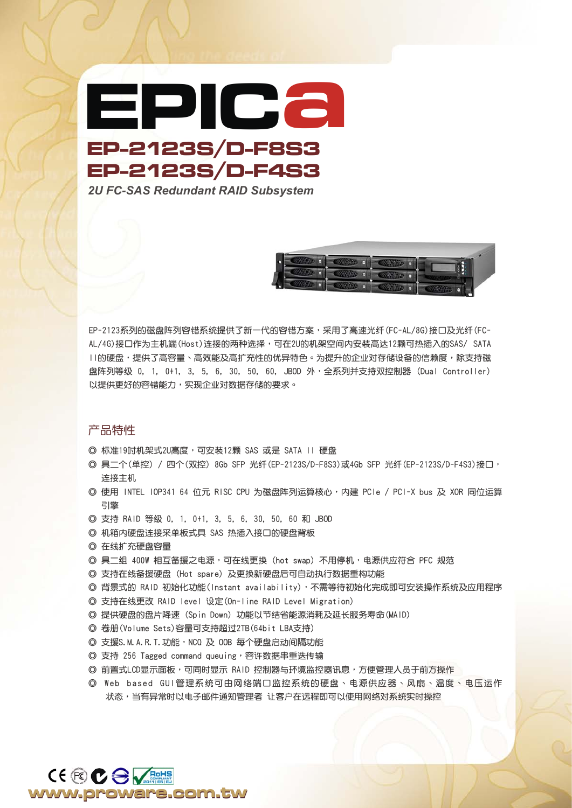**EP-2123S/D-F8S3** *2U FC-SAS Redundant RAID Subsystem* **EPICa EP-2123S/D-F4S3**



EP-2123系列的磁盘阵列容错系统提供了新一代的容错方案,采用了高速光纤 (FC-AL/8G) 接口及光纤 (FC-AL/4G)接口作为主机端(Host)连接的两种选择,可在2U的机架空间内安装高达12颗可热插入的SAS/ SATA II的硬盘,提供了高容量、高效能及高扩充性的优异特色。为提升的企业对存储设备的信赖度,除支持磁 盘阵列等级 0, 1, 0+1, 3, 5, 6, 30, 50, 60, JBOD 外,全系列并支持双控制器 (Dual Controller) 以提供更好的容错能力,实现企业对数据存储的要求。

## 產品特性

- ◎ 標準19吋機架式2U高度,可安裝12顆 SAS 或是 SATA II 硬盤
- ◎ 具二个(单控) / 四个(双控) 8Gb SFP 光纤(EP-2123S/D-F8S3)或4Gb SFP 光纤(EP-2123S/D-F4S3)接口, 連接主機
- ◎ 使用 INTEL IOP341 64 位元 RISC CPU 为磁盘阵列运算核心,内建 PCIe / PCI-X bus 及 XOR 同位运算 引擎
- ◎ 支持 RAID 等級 0, 1, 0+1, 3, 5, 6, 30, 50, 60 和 JBOD
- ◎ 機箱內硬盤連接採單板式具 SAS 熱插入接口的硬盤背板
- ◎ 在线扩充硬盘容量
- ◎ 具二组 400W 相互备援之电源,可在线更换 (hot swap) 不用停机,电源供应符合 PFC 规范
- ◎ 支持在線備援硬盤 (Hot spare) 及更換新硬盤後可自動執行數據重構功能
- ◎ 背景式的 RAID 初始化功能(Instant availability),不需等待初始化完成即可安装操作系统及应用程序
- ◎ 支持在線更改 RAID level 設定(On-line RAID Level Migration)
- ◎ 提供硬盤的盤片降速 (Spin Down) 功能以節結省能源消耗及延長服務壽命(MAID)
- ◎ 卷冊(Volume Sets)容量可支持超過2TB(64bit LBA支持)
- © 支援S. M. A. R. T. 功能, NCQ 及 00B 每个硬盘启动间隔功能
- © 支持 256 Tagged command queuing,容许数据串重迭传输
- ◎ 前置式LCD显示面板,可同时显示 RAID 控制器与环境监控器讯息,方便管理人员于前方操作
- ◎ Web based GUI管理系统可由网络端口监控系统的硬盘、电源供应器、风扇、温度、电压运作 状态,当有异常时以电子邮件通知管理者 让客户在远程即可以使用网络对系统实时操控